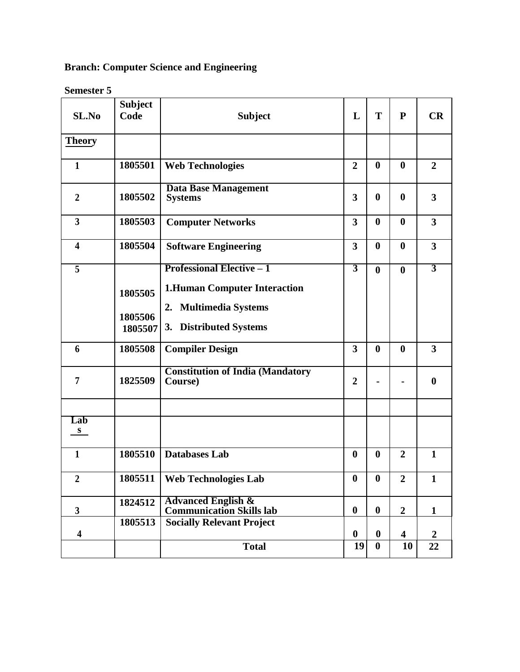# **Branch: Computer Science and Engineering**

**Semester 5**

| SL.No                   | <b>Subject</b><br>Code        | <b>Subject</b>                                                                                                                       | L                       | T                | ${\bf P}$               | CR                      |
|-------------------------|-------------------------------|--------------------------------------------------------------------------------------------------------------------------------------|-------------------------|------------------|-------------------------|-------------------------|
| <b>Theory</b>           |                               |                                                                                                                                      |                         |                  |                         |                         |
| $\mathbf{1}$            | 1805501                       | <b>Web Technologies</b>                                                                                                              | $\overline{2}$          | $\boldsymbol{0}$ | $\boldsymbol{0}$        | $\overline{2}$          |
| $\overline{2}$          | 1805502                       | <b>Data Base Management</b><br><b>Systems</b>                                                                                        | $\overline{\mathbf{3}}$ | $\boldsymbol{0}$ | $\boldsymbol{0}$        | 3                       |
| $\overline{\mathbf{3}}$ | 1805503                       | <b>Computer Networks</b>                                                                                                             | $\overline{\mathbf{3}}$ | $\boldsymbol{0}$ | $\boldsymbol{0}$        | $\overline{\mathbf{3}}$ |
| $\overline{\mathbf{4}}$ | 1805504                       | <b>Software Engineering</b>                                                                                                          | $\overline{\mathbf{3}}$ | $\boldsymbol{0}$ | $\bf{0}$                | $\overline{\mathbf{3}}$ |
| $\overline{\mathbf{5}}$ | 1805505<br>1805506<br>1805507 | <b>Professional Elective - 1</b><br><b>1.Human Computer Interaction</b><br><b>Multimedia Systems</b><br>2.<br>3. Distributed Systems | $\overline{3}$          | $\boldsymbol{0}$ | $\bf{0}$                | $\overline{3}$          |
| 6                       | 1805508                       | <b>Compiler Design</b>                                                                                                               | $\overline{\mathbf{3}}$ | $\boldsymbol{0}$ | $\boldsymbol{0}$        | 3                       |
| 7                       | 1825509                       | <b>Constitution of India (Mandatory</b><br>Course)                                                                                   | $\overline{2}$          |                  |                         | $\boldsymbol{0}$        |
|                         |                               |                                                                                                                                      |                         |                  |                         |                         |
| Lab<br>S.               |                               |                                                                                                                                      |                         |                  |                         |                         |
| $\mathbf{1}$            | 1805510                       | <b>Databases Lab</b>                                                                                                                 | $\boldsymbol{0}$        | $\boldsymbol{0}$ | $\overline{2}$          | $\mathbf{1}$            |
| $\boldsymbol{2}$        |                               | 1805511   Web Technologies Lab                                                                                                       | $\bf{0}$                | $\bf{0}$         | $\boldsymbol{2}$        | $\mathbf{1}$            |
| $\mathbf{3}$            | 1824512                       | <b>Advanced English &amp;</b><br><b>Communication Skills lab</b>                                                                     | $\boldsymbol{0}$        | $\boldsymbol{0}$ | $\overline{2}$          | $\mathbf{1}$            |
| $\overline{\mathbf{4}}$ | 1805513                       | <b>Socially Relevant Project</b>                                                                                                     | $\boldsymbol{0}$        | $\boldsymbol{0}$ | $\overline{\mathbf{4}}$ | $\boldsymbol{2}$        |
|                         |                               | <b>Total</b>                                                                                                                         | 19                      | $\boldsymbol{0}$ | 10                      | 22                      |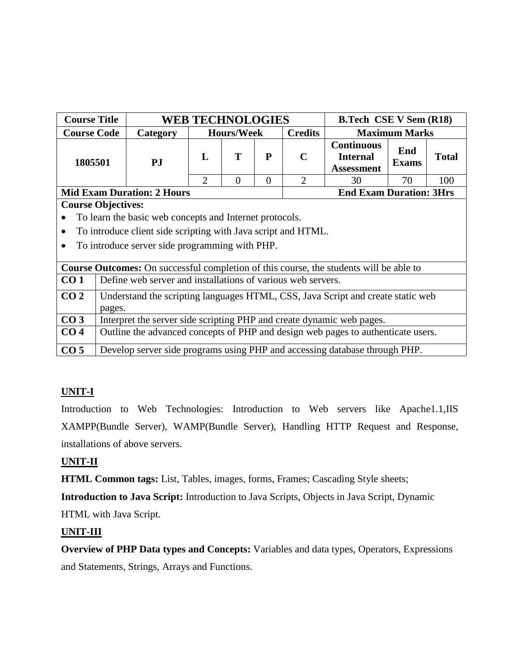| <b>Course Title</b>       |                                                                                               | <b>WEB TECHNOLOGIES</b> |                   |                                |                | <b>B.Tech CSE V Sem (R18)</b>                             |                      |              |  |  |
|---------------------------|-----------------------------------------------------------------------------------------------|-------------------------|-------------------|--------------------------------|----------------|-----------------------------------------------------------|----------------------|--------------|--|--|
| <b>Course Code</b>        | Category                                                                                      |                         | <b>Hours/Week</b> |                                | <b>Credits</b> |                                                           | <b>Maximum Marks</b> |              |  |  |
| 1805501                   | PJ                                                                                            | $\mathbf{L}$            | T                 | P                              | $\mathbf C$    | <b>Continuous</b><br><b>Internal</b><br><b>Assessment</b> | End<br><b>Exams</b>  | <b>Total</b> |  |  |
|                           |                                                                                               | $\overline{2}$          | $\Omega$          | $\Omega$                       | $\overline{2}$ | 30                                                        | 70                   | 100          |  |  |
|                           | <b>Mid Exam Duration: 2 Hours</b>                                                             |                         |                   | <b>End Exam Duration: 3Hrs</b> |                |                                                           |                      |              |  |  |
|                           | <b>Course Objectives:</b>                                                                     |                         |                   |                                |                |                                                           |                      |              |  |  |
|                           | To learn the basic web concepts and Internet protocols.                                       |                         |                   |                                |                |                                                           |                      |              |  |  |
| $\bullet$                 | To introduce client side scripting with Java script and HTML.                                 |                         |                   |                                |                |                                                           |                      |              |  |  |
| $\bullet$                 | To introduce server side programming with PHP.                                                |                         |                   |                                |                |                                                           |                      |              |  |  |
|                           | <b>Course Outcomes:</b> On successful completion of this course, the students will be able to |                         |                   |                                |                |                                                           |                      |              |  |  |
| CO <sub>1</sub>           | Define web server and installations of various web servers.                                   |                         |                   |                                |                |                                                           |                      |              |  |  |
| CO <sub>2</sub><br>pages. | Understand the scripting languages HTML, CSS, Java Script and create static web               |                         |                   |                                |                |                                                           |                      |              |  |  |
| CO <sub>3</sub>           | Interpret the server side scripting PHP and create dynamic web pages.                         |                         |                   |                                |                |                                                           |                      |              |  |  |
| CO <sub>4</sub>           | Outline the advanced concepts of PHP and design web pages to authenticate users.              |                         |                   |                                |                |                                                           |                      |              |  |  |
| CO <sub>5</sub>           | Develop server side programs using PHP and accessing database through PHP.                    |                         |                   |                                |                |                                                           |                      |              |  |  |

Introduction to Web Technologies: Introduction to Web servers like Apache1.1,IIS XAMPP(Bundle Server), WAMP(Bundle Server), Handling HTTP Request and Response, installations of above servers.

# **UNIT-II**

**HTML Common tags:** List, Tables, images, forms, Frames; Cascading Style sheets;

**Introduction to Java Script:** Introduction to Java Scripts, Objects in Java Script, Dynamic HTML with Java Script.

# **UNIT-III**

**Overview of PHP Data types and Concepts:** Variables and data types, Operators, Expressions and Statements, Strings, Arrays and Functions.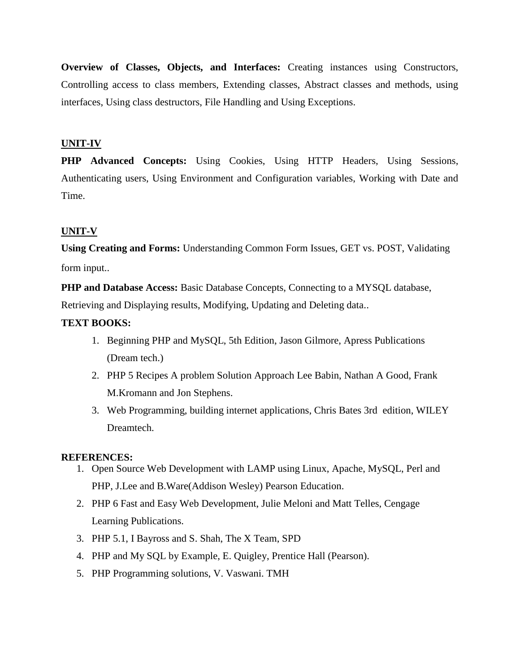**Overview of Classes, Objects, and Interfaces:** Creating instances using Constructors, Controlling access to class members, Extending classes, Abstract classes and methods, using interfaces, Using class destructors, File Handling and Using Exceptions.

### **UNIT-IV**

**PHP Advanced Concepts:** Using Cookies, Using HTTP Headers, Using Sessions, Authenticating users, Using Environment and Configuration variables, Working with Date and Time.

#### **UNIT-V**

**Using Creating and Forms:** Understanding Common Form Issues, GET vs. POST, Validating form input..

**PHP and Database Access:** Basic Database Concepts, Connecting to a MYSQL database, Retrieving and Displaying results, Modifying, Updating and Deleting data..

#### **TEXT BOOKS:**

- 1. Beginning PHP and MySQL, 5th Edition, Jason Gilmore, Apress Publications (Dream tech.)
- 2. PHP 5 Recipes A problem Solution Approach Lee Babin, Nathan A Good, Frank M.Kromann and Jon Stephens.
- 3. Web Programming, building internet applications, Chris Bates 3rd edition, WILEY Dreamtech.

#### **REFERENCES:**

- 1. Open Source Web Development with LAMP using Linux, Apache, MySQL, Perl and PHP, J.Lee and B.Ware(Addison Wesley) Pearson Education.
- 2. PHP 6 Fast and Easy Web Development, Julie Meloni and Matt Telles, Cengage Learning Publications.
- 3. PHP 5.1, I Bayross and S. Shah, The X Team, SPD
- 4. PHP and My SQL by Example, E. Quigley, Prentice Hall (Pearson).
- 5. PHP Programming solutions, V. Vaswani. TMH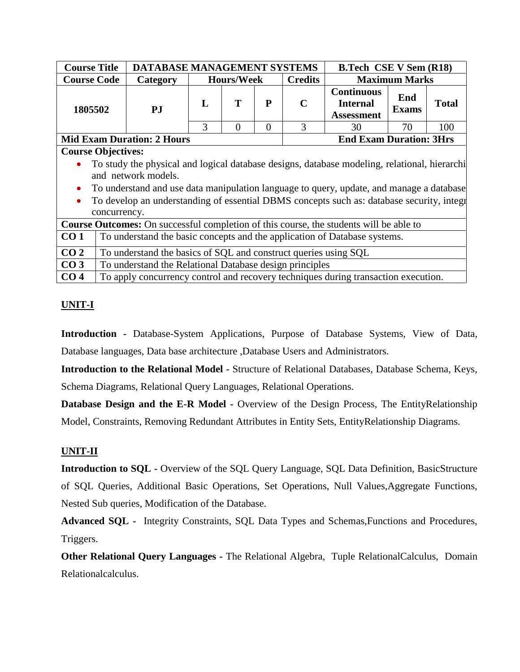| <b>Course Title</b>                                                                                                                                                                                                                                                                                                                                                                 |                                                                 |                                   | DATABASE MANAGEMENT SYSTEMS |                   |          |                | <b>B.Tech CSE V Sem (R18)</b>                                                                 |                      |              |
|-------------------------------------------------------------------------------------------------------------------------------------------------------------------------------------------------------------------------------------------------------------------------------------------------------------------------------------------------------------------------------------|-----------------------------------------------------------------|-----------------------------------|-----------------------------|-------------------|----------|----------------|-----------------------------------------------------------------------------------------------|----------------------|--------------|
| <b>Course Code</b>                                                                                                                                                                                                                                                                                                                                                                  |                                                                 | Category                          |                             | <b>Hours/Week</b> |          | <b>Credits</b> |                                                                                               | <b>Maximum Marks</b> |              |
| 1805502                                                                                                                                                                                                                                                                                                                                                                             |                                                                 | <b>PJ</b>                         | L                           | T                 | P        | $\mathbf C$    | <b>Continuous</b><br><b>Internal</b><br><b>Assessment</b>                                     | End<br><b>Exams</b>  | <b>Total</b> |
|                                                                                                                                                                                                                                                                                                                                                                                     |                                                                 |                                   | 3                           | $\Omega$          | $\theta$ | 3              | 30                                                                                            | 70                   | 100          |
|                                                                                                                                                                                                                                                                                                                                                                                     |                                                                 | <b>Mid Exam Duration: 2 Hours</b> |                             |                   |          |                | <b>End Exam Duration: 3Hrs</b>                                                                |                      |              |
| <b>Course Objectives:</b><br>To study the physical and logical database designs, database modeling, relational, hierarchi<br>and network models.<br>To understand and use data manipulation language to query, update, and manage a database<br>$\bullet$<br>To develop an understanding of essential DBMS concepts such as: database security, integr<br>$\bullet$<br>concurrency. |                                                                 |                                   |                             |                   |          |                |                                                                                               |                      |              |
|                                                                                                                                                                                                                                                                                                                                                                                     |                                                                 |                                   |                             |                   |          |                | <b>Course Outcomes:</b> On successful completion of this course, the students will be able to |                      |              |
| CO <sub>1</sub>                                                                                                                                                                                                                                                                                                                                                                     |                                                                 |                                   |                             |                   |          |                | To understand the basic concepts and the application of Database systems.                     |                      |              |
| CO <sub>2</sub>                                                                                                                                                                                                                                                                                                                                                                     | To understand the basics of SQL and construct queries using SQL |                                   |                             |                   |          |                |                                                                                               |                      |              |
| CO <sub>3</sub>                                                                                                                                                                                                                                                                                                                                                                     | To understand the Relational Database design principles         |                                   |                             |                   |          |                |                                                                                               |                      |              |
| CO <sub>4</sub>                                                                                                                                                                                                                                                                                                                                                                     |                                                                 |                                   |                             |                   |          |                | To apply concurrency control and recovery techniques during transaction execution.            |                      |              |

**Introduction -** Database-System Applications, Purpose of Database Systems, View of Data, Database languages, Data base architecture ,Database Users and Administrators.

**Introduction to the Relational Model -** Structure of Relational Databases, Database Schema, Keys, Schema Diagrams, Relational Query Languages, Relational Operations.

**Database Design and the E-R Model -** Overview of the Design Process, The EntityRelationship Model, Constraints, Removing Redundant Attributes in Entity Sets, EntityRelationship Diagrams.

### **UNIT-II**

**Introduction to SQL -** Overview of the SQL Query Language, SQL Data Definition, BasicStructure of SQL Queries, Additional Basic Operations, Set Operations, Null Values,Aggregate Functions, Nested Sub queries, Modification of the Database.

**Advanced SQL -** Integrity Constraints, SQL Data Types and Schemas,Functions and Procedures, Triggers.

**Other Relational Query Languages -** The Relational Algebra, Tuple RelationalCalculus, Domain Relationalcalculus.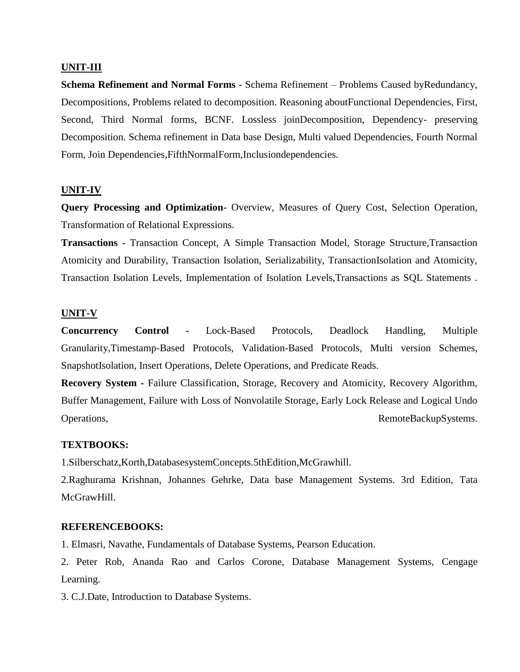#### **UNIT-III**

**Schema Refinement and Normal Forms -** Schema Refinement – Problems Caused byRedundancy, Decompositions, Problems related to decomposition. Reasoning aboutFunctional Dependencies, First, Second, Third Normal forms, BCNF. Lossless joinDecomposition, Dependency- preserving Decomposition. Schema refinement in Data base Design, Multi valued Dependencies, Fourth Normal Form, Join Dependencies,FifthNormalForm,Inclusiondependencies.

#### **UNIT-IV**

**Query Processing and Optimization-** Overview, Measures of Query Cost, Selection Operation, Transformation of Relational Expressions.

**Transactions -** Transaction Concept, A Simple Transaction Model, Storage Structure,Transaction Atomicity and Durability, Transaction Isolation, Serializability, TransactionIsolation and Atomicity, Transaction Isolation Levels, Implementation of Isolation Levels,Transactions as SQL Statements .

#### **UNIT-V**

**Concurrency Control -** Lock-Based Protocols, Deadlock Handling, Multiple Granularity,Timestamp-Based Protocols, Validation-Based Protocols, Multi version Schemes, SnapshotIsolation, Insert Operations, Delete Operations, and Predicate Reads.

**Recovery System -** Failure Classification, Storage, Recovery and Atomicity, Recovery Algorithm, Buffer Management, Failure with Loss of Nonvolatile Storage, Early Lock Release and Logical Undo Operations, RemoteBackupSystems.

#### **TEXTBOOKS:**

1.Silberschatz,Korth,DatabasesystemConcepts.5thEdition,McGrawhill.

2.Raghurama Krishnan, Johannes Gehrke, Data base Management Systems. 3rd Edition, Tata McGrawHill.

#### **REFERENCEBOOKS:**

1. Elmasri, Navathe, Fundamentals of Database Systems, Pearson Education.

2. Peter Rob, Ananda Rao and Carlos Corone, Database Management Systems, Cengage Learning.

3. C.J.Date, Introduction to Database Systems.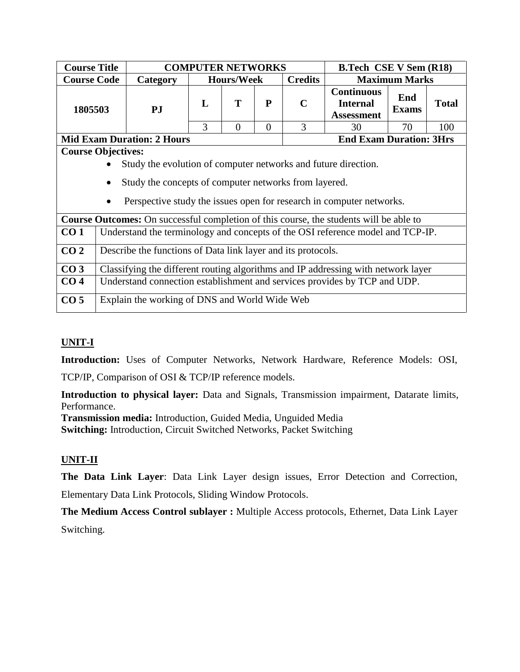| <b>Course Title</b> |                                                                                                                         |                                                                                               | <b>COMPUTER NETWORKS</b> |                   |                |                                | <b>B.Tech CSE V Sem (R18)</b>                             |                      |              |  |
|---------------------|-------------------------------------------------------------------------------------------------------------------------|-----------------------------------------------------------------------------------------------|--------------------------|-------------------|----------------|--------------------------------|-----------------------------------------------------------|----------------------|--------------|--|
| <b>Course Code</b>  |                                                                                                                         | Category                                                                                      |                          | <b>Hours/Week</b> |                | <b>Credits</b>                 |                                                           | <b>Maximum Marks</b> |              |  |
| 1805503             |                                                                                                                         | P <sub>J</sub>                                                                                | L                        | T                 | P              | $\mathbf C$                    | <b>Continuous</b><br><b>Internal</b><br><b>Assessment</b> | End<br><b>Exams</b>  | <b>Total</b> |  |
|                     |                                                                                                                         |                                                                                               | 3                        | $\overline{0}$    | $\overline{0}$ | 3                              | 30                                                        | 70                   | 100          |  |
|                     |                                                                                                                         | <b>Mid Exam Duration: 2 Hours</b>                                                             |                          |                   |                | <b>End Exam Duration: 3Hrs</b> |                                                           |                      |              |  |
|                     | <b>Course Objectives:</b>                                                                                               |                                                                                               |                          |                   |                |                                |                                                           |                      |              |  |
|                     | Study the evolution of computer networks and future direction.<br>Study the concepts of computer networks from layered. |                                                                                               |                          |                   |                |                                |                                                           |                      |              |  |
|                     |                                                                                                                         | Perspective study the issues open for research in computer networks.                          |                          |                   |                |                                |                                                           |                      |              |  |
|                     |                                                                                                                         | <b>Course Outcomes:</b> On successful completion of this course, the students will be able to |                          |                   |                |                                |                                                           |                      |              |  |
| CO <sub>1</sub>     |                                                                                                                         | Understand the terminology and concepts of the OSI reference model and TCP-IP.                |                          |                   |                |                                |                                                           |                      |              |  |
| CO <sub>2</sub>     |                                                                                                                         | Describe the functions of Data link layer and its protocols.                                  |                          |                   |                |                                |                                                           |                      |              |  |
| CO <sub>3</sub>     | Classifying the different routing algorithms and IP addressing with network layer                                       |                                                                                               |                          |                   |                |                                |                                                           |                      |              |  |
| CO <sub>4</sub>     | Understand connection establishment and services provides by TCP and UDP.                                               |                                                                                               |                          |                   |                |                                |                                                           |                      |              |  |
| CO <sub>5</sub>     | Explain the working of DNS and World Wide Web                                                                           |                                                                                               |                          |                   |                |                                |                                                           |                      |              |  |

**Introduction:** Uses of Computer Networks, Network Hardware, Reference Models: OSI,

TCP/IP, Comparison of OSI & TCP/IP reference models.

**Introduction to physical layer:** Data and Signals, Transmission impairment, Datarate limits, Performance.

**Transmission media:** Introduction, Guided Media, Unguided Media **Switching:** Introduction, Circuit Switched Networks, Packet Switching

# **UNIT-II**

**The Data Link Layer**: Data Link Layer design issues, Error Detection and Correction,

Elementary Data Link Protocols, Sliding Window Protocols.

**The Medium Access Control sublayer :** Multiple Access protocols, Ethernet, Data Link Layer Switching.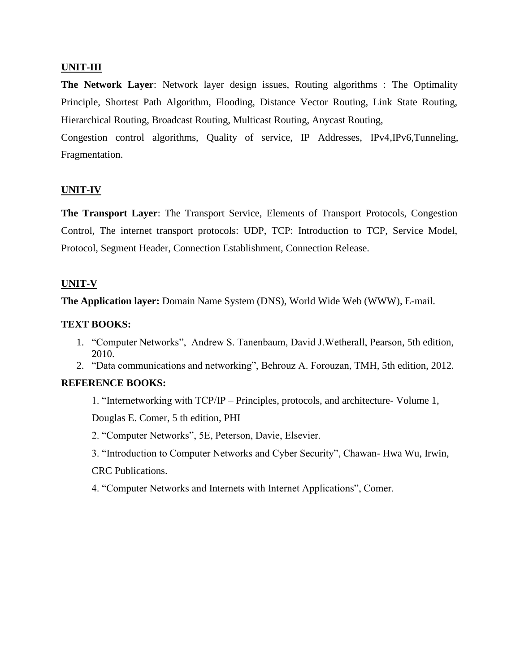### **UNIT-III**

**The Network Layer**: Network layer design issues, Routing algorithms : The Optimality Principle, Shortest Path Algorithm, Flooding, Distance Vector Routing, Link State Routing, Hierarchical Routing, Broadcast Routing, Multicast Routing, Anycast Routing,

Congestion control algorithms, Quality of service, IP Addresses, IPv4,IPv6,Tunneling, Fragmentation.

### **UNIT-IV**

**The Transport Layer**: The Transport Service, Elements of Transport Protocols, Congestion Control, The internet transport protocols: UDP, TCP: Introduction to TCP, Service Model, Protocol, Segment Header, Connection Establishment, Connection Release.

### **UNIT-V**

**The Application layer:** Domain Name System (DNS), World Wide Web (WWW), E-mail.

### **TEXT BOOKS:**

- 1. "Computer Networks", Andrew S. Tanenbaum, David J.Wetherall, Pearson, 5th edition, 2010.
- 2. "Data communications and networking", Behrouz A. Forouzan, TMH, 5th edition, 2012.

### **REFERENCE BOOKS:**

1. "Internetworking with TCP/IP – Principles, protocols, and architecture- Volume 1, Douglas E. Comer, 5 th edition, PHI

- 2. "Computer Networks", 5E, Peterson, Davie, Elsevier.
- 3. "Introduction to Computer Networks and Cyber Security", Chawan- Hwa Wu, Irwin, CRC Publications.
- 4. "Computer Networks and Internets with Internet Applications", Comer.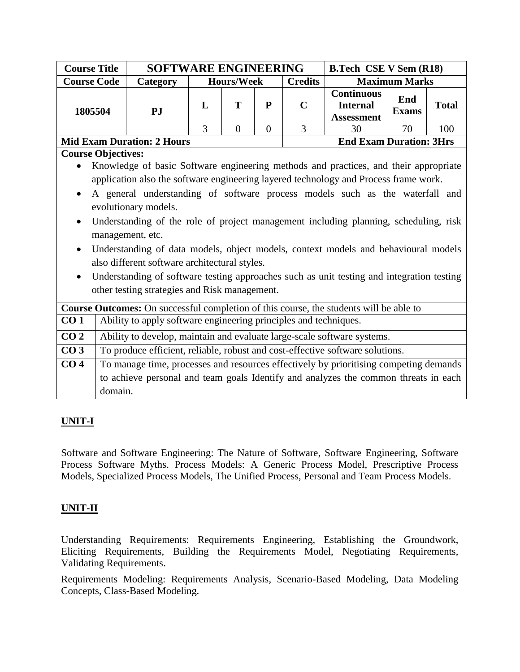| <b>Course Title</b>                                                                  |                                                                                       | <b>SOFTWARE ENGINEERING</b>                                                                                                                                        |                |                   |                |                | <b>B.Tech CSE V Sem (R18)</b>                                                                                                                                                                                                                                             |                      |              |
|--------------------------------------------------------------------------------------|---------------------------------------------------------------------------------------|--------------------------------------------------------------------------------------------------------------------------------------------------------------------|----------------|-------------------|----------------|----------------|---------------------------------------------------------------------------------------------------------------------------------------------------------------------------------------------------------------------------------------------------------------------------|----------------------|--------------|
| <b>Course Code</b>                                                                   |                                                                                       | <b>Category</b>                                                                                                                                                    |                | <b>Hours/Week</b> |                | <b>Credits</b> |                                                                                                                                                                                                                                                                           | <b>Maximum Marks</b> |              |
| 1805504                                                                              |                                                                                       | PJ                                                                                                                                                                 | L              | T                 | ${\bf P}$      | $\mathbf C$    | <b>Continuous</b><br><b>Internal</b><br><b>Assessment</b>                                                                                                                                                                                                                 | End<br><b>Exams</b>  | <b>Total</b> |
|                                                                                      |                                                                                       |                                                                                                                                                                    | $\overline{3}$ | $\overline{0}$    | $\overline{0}$ | $\overline{3}$ | 30                                                                                                                                                                                                                                                                        | 70                   | 100          |
|                                                                                      |                                                                                       | <b>Mid Exam Duration: 2 Hours</b>                                                                                                                                  |                |                   |                |                | <b>End Exam Duration: 3Hrs</b>                                                                                                                                                                                                                                            |                      |              |
|                                                                                      | <b>Course Objectives:</b>                                                             |                                                                                                                                                                    |                |                   |                |                |                                                                                                                                                                                                                                                                           |                      |              |
| Knowledge of basic Software engineering methods and practices, and their appropriate |                                                                                       |                                                                                                                                                                    |                |                   |                |                |                                                                                                                                                                                                                                                                           |                      |              |
| application also the software engineering layered technology and Process frame work. |                                                                                       |                                                                                                                                                                    |                |                   |                |                |                                                                                                                                                                                                                                                                           |                      |              |
|                                                                                      | A general understanding of software process models such as the waterfall and          |                                                                                                                                                                    |                |                   |                |                |                                                                                                                                                                                                                                                                           |                      |              |
| evolutionary models.                                                                 |                                                                                       |                                                                                                                                                                    |                |                   |                |                |                                                                                                                                                                                                                                                                           |                      |              |
| $\bullet$                                                                            | Understanding of the role of project management including planning, scheduling, risk  |                                                                                                                                                                    |                |                   |                |                |                                                                                                                                                                                                                                                                           |                      |              |
|                                                                                      |                                                                                       | management, etc.                                                                                                                                                   |                |                   |                |                |                                                                                                                                                                                                                                                                           |                      |              |
| $\bullet$                                                                            |                                                                                       |                                                                                                                                                                    |                |                   |                |                |                                                                                                                                                                                                                                                                           |                      |              |
|                                                                                      |                                                                                       |                                                                                                                                                                    |                |                   |                |                |                                                                                                                                                                                                                                                                           |                      |              |
|                                                                                      |                                                                                       |                                                                                                                                                                    |                |                   |                |                |                                                                                                                                                                                                                                                                           |                      |              |
|                                                                                      |                                                                                       |                                                                                                                                                                    |                |                   |                |                |                                                                                                                                                                                                                                                                           |                      |              |
|                                                                                      |                                                                                       |                                                                                                                                                                    |                |                   |                |                |                                                                                                                                                                                                                                                                           |                      |              |
|                                                                                      |                                                                                       |                                                                                                                                                                    |                |                   |                |                |                                                                                                                                                                                                                                                                           |                      |              |
|                                                                                      |                                                                                       |                                                                                                                                                                    |                |                   |                |                |                                                                                                                                                                                                                                                                           |                      |              |
| CO <sub>2</sub>                                                                      |                                                                                       |                                                                                                                                                                    |                |                   |                |                | Ability to develop, maintain and evaluate large-scale software systems.                                                                                                                                                                                                   |                      |              |
| CO <sub>3</sub>                                                                      | To produce efficient, reliable, robust and cost-effective software solutions.         |                                                                                                                                                                    |                |                   |                |                |                                                                                                                                                                                                                                                                           |                      |              |
| CO <sub>4</sub>                                                                      | To manage time, processes and resources effectively by prioritising competing demands |                                                                                                                                                                    |                |                   |                |                |                                                                                                                                                                                                                                                                           |                      |              |
|                                                                                      | to achieve personal and team goals Identify and analyzes the common threats in each   |                                                                                                                                                                    |                |                   |                |                |                                                                                                                                                                                                                                                                           |                      |              |
|                                                                                      | domain.                                                                               |                                                                                                                                                                    |                |                   |                |                |                                                                                                                                                                                                                                                                           |                      |              |
| $\bullet$<br>CO <sub>1</sub>                                                         |                                                                                       | also different software architectural styles.<br>other testing strategies and Risk management.<br>Ability to apply software engineering principles and techniques. |                |                   |                |                | Understanding of data models, object models, context models and behavioural models<br>Understanding of software testing approaches such as unit testing and integration testing<br>Course Outcomes: On successful completion of this course, the students will be able to |                      |              |

Software and Software Engineering: The Nature of Software, Software Engineering, Software Process Software Myths. Process Models: A Generic Process Model, Prescriptive Process Models, Specialized Process Models, The Unified Process, Personal and Team Process Models.

### **UNIT-II**

Understanding Requirements: Requirements Engineering, Establishing the Groundwork, Eliciting Requirements, Building the Requirements Model, Negotiating Requirements, Validating Requirements.

Requirements Modeling: Requirements Analysis, Scenario-Based Modeling, Data Modeling Concepts, Class-Based Modeling.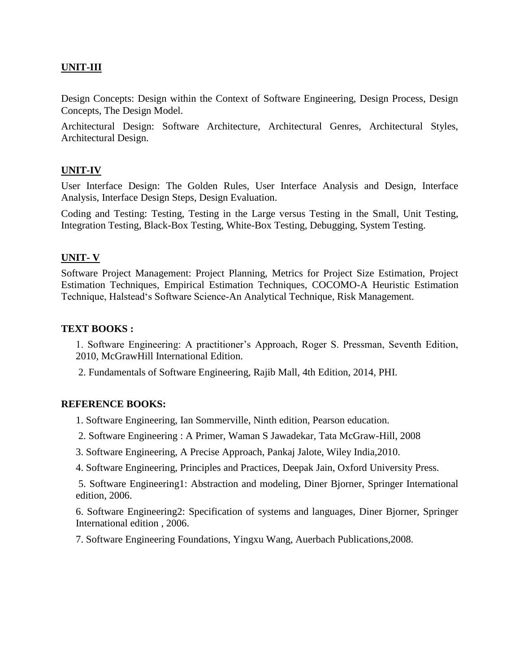## **UNIT-III**

Design Concepts: Design within the Context of Software Engineering, Design Process, Design Concepts, The Design Model.

Architectural Design: Software Architecture, Architectural Genres, Architectural Styles, Architectural Design.

### **UNIT-IV**

User Interface Design: The Golden Rules, User Interface Analysis and Design, Interface Analysis, Interface Design Steps, Design Evaluation.

Coding and Testing: Testing, Testing in the Large versus Testing in the Small, Unit Testing, Integration Testing, Black-Box Testing, White-Box Testing, Debugging, System Testing.

### **UNIT- V**

Software Project Management: Project Planning, Metrics for Project Size Estimation, Project Estimation Techniques, Empirical Estimation Techniques, COCOMO-A Heuristic Estimation Technique, Halstead's Software Science-An Analytical Technique, Risk Management.

### **TEXT BOOKS :**

1. Software Engineering: A practitioner's Approach, Roger S. Pressman, Seventh Edition, 2010, McGrawHill International Edition.

2. Fundamentals of Software Engineering, Rajib Mall, 4th Edition, 2014, PHI.

#### **REFERENCE BOOKS:**

1. Software Engineering, Ian Sommerville, Ninth edition, Pearson education.

- 2. Software Engineering : A Primer, Waman S Jawadekar, Tata McGraw-Hill, 2008
- 3. Software Engineering, A Precise Approach, Pankaj Jalote, Wiley India,2010.
- 4. Software Engineering, Principles and Practices, Deepak Jain, Oxford University Press.

5. Software Engineering1: Abstraction and modeling, Diner Bjorner, Springer International edition, 2006.

6. Software Engineering2: Specification of systems and languages, Diner Bjorner, Springer International edition , 2006.

7. Software Engineering Foundations, Yingxu Wang, Auerbach Publications,2008.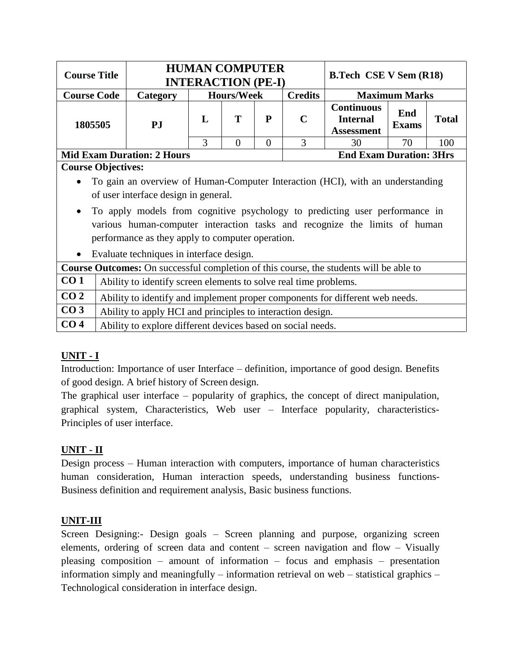| <b>Course Title</b> |                                                                                                                        |                                                             | <b>HUMAN COMPUTER</b><br><b>INTERACTION (PE-I)</b> |                   |          |                                | <b>B.Tech CSE V Sem (R18)</b>                                                                                                                             |                      |              |
|---------------------|------------------------------------------------------------------------------------------------------------------------|-------------------------------------------------------------|----------------------------------------------------|-------------------|----------|--------------------------------|-----------------------------------------------------------------------------------------------------------------------------------------------------------|----------------------|--------------|
| <b>Course Code</b>  |                                                                                                                        | Category                                                    |                                                    | <b>Hours/Week</b> |          | <b>Credits</b>                 |                                                                                                                                                           | <b>Maximum Marks</b> |              |
| 1805505             |                                                                                                                        | PJ                                                          | L                                                  | T<br>P            |          | $\mathbf C$                    | <b>Continuous</b><br><b>Internal</b><br><b>Assessment</b>                                                                                                 | End<br><b>Exams</b>  | <b>Total</b> |
|                     |                                                                                                                        |                                                             | 3                                                  | $\theta$          | $\Omega$ | 3                              | 30                                                                                                                                                        | 70                   | 100          |
|                     | <b>Mid Exam Duration: 2 Hours</b>                                                                                      |                                                             |                                                    |                   |          | <b>End Exam Duration: 3Hrs</b> |                                                                                                                                                           |                      |              |
|                     | <b>Course Objectives:</b>                                                                                              |                                                             |                                                    |                   |          |                                |                                                                                                                                                           |                      |              |
| $\bullet$           | To gain an overview of Human-Computer Interaction (HCI), with an understanding<br>of user interface design in general. |                                                             |                                                    |                   |          |                                |                                                                                                                                                           |                      |              |
| $\bullet$           | performance as they apply to computer operation.                                                                       |                                                             |                                                    |                   |          |                                | To apply models from cognitive psychology to predicting user performance in<br>various human-computer interaction tasks and recognize the limits of human |                      |              |
| $\bullet$           | Evaluate techniques in interface design.                                                                               |                                                             |                                                    |                   |          |                                |                                                                                                                                                           |                      |              |
|                     |                                                                                                                        |                                                             |                                                    |                   |          |                                | <b>Course Outcomes:</b> On successful completion of this course, the students will be able to                                                             |                      |              |
| CO <sub>1</sub>     | Ability to identify screen elements to solve real time problems.                                                       |                                                             |                                                    |                   |          |                                |                                                                                                                                                           |                      |              |
| CO <sub>2</sub>     | Ability to identify and implement proper components for different web needs.                                           |                                                             |                                                    |                   |          |                                |                                                                                                                                                           |                      |              |
| CO <sub>3</sub>     | Ability to apply HCI and principles to interaction design.                                                             |                                                             |                                                    |                   |          |                                |                                                                                                                                                           |                      |              |
| CO <sub>4</sub>     |                                                                                                                        | Ability to explore different devices based on social needs. |                                                    |                   |          |                                |                                                                                                                                                           |                      |              |

# **UNIT - I**

Introduction: Importance of user Interface – definition, importance of good design. Benefits of good design. A brief history of Screen design.

The graphical user interface – popularity of graphics, the concept of direct manipulation, graphical system, Characteristics, Web user – Interface popularity, characteristics-Principles of user interface.

# **UNIT - II**

Design process – Human interaction with computers, importance of human characteristics human consideration, Human interaction speeds, understanding business functions-Business definition and requirement analysis, Basic business functions.

### **UNIT-III**

Screen Designing:- Design goals – Screen planning and purpose, organizing screen elements, ordering of screen data and content – screen navigation and flow – Visually pleasing composition – amount of information – focus and emphasis – presentation information simply and meaningfully – information retrieval on web – statistical graphics – Technological consideration in interface design.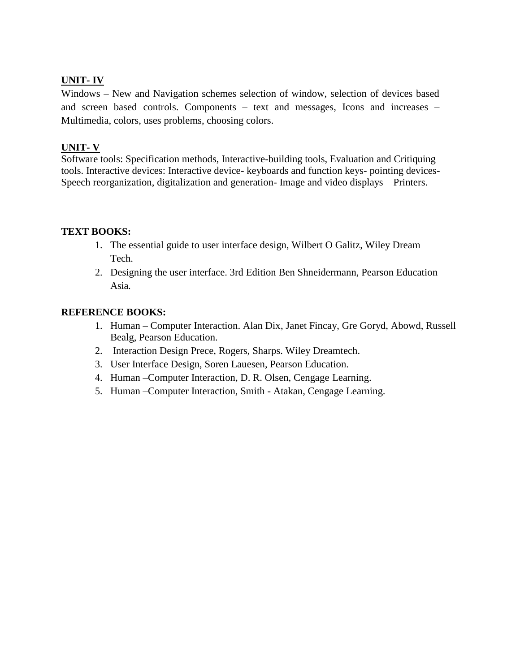## **UNIT- IV**

Windows – New and Navigation schemes selection of window, selection of devices based and screen based controls. Components – text and messages, Icons and increases – Multimedia, colors, uses problems, choosing colors.

## **UNIT- V**

Software tools: Specification methods, Interactive-building tools, Evaluation and Critiquing tools. Interactive devices: Interactive device- keyboards and function keys- pointing devices-Speech reorganization, digitalization and generation- Image and video displays – Printers.

### **TEXT BOOKS:**

- 1. The essential guide to user interface design, Wilbert O Galitz, Wiley Dream Tech.
- 2. Designing the user interface. 3rd Edition Ben Shneidermann, Pearson Education Asia.

### **REFERENCE BOOKS:**

- 1. Human Computer Interaction. Alan Dix, Janet Fincay, Gre Goryd, Abowd, Russell Bealg, Pearson Education.
- 2. Interaction Design Prece, Rogers, Sharps. Wiley Dreamtech.
- 3. User Interface Design, Soren Lauesen, Pearson Education.
- 4. Human –Computer Interaction, D. R. Olsen, Cengage Learning.
- 5. Human –Computer Interaction, Smith Atakan, Cengage Learning.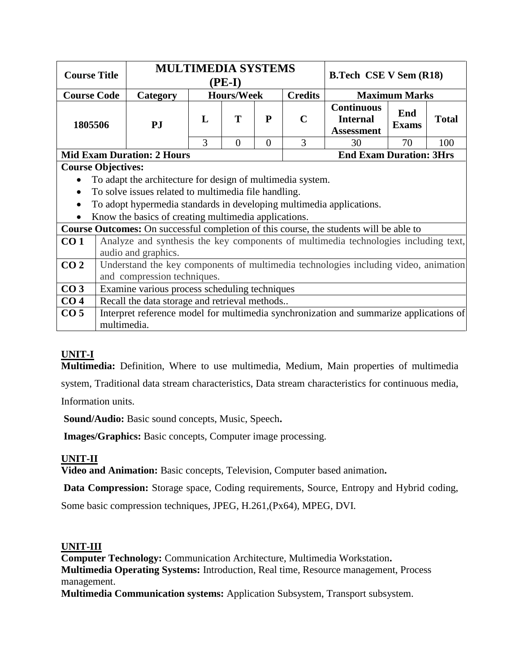| <b>Course Title</b> |                                                            | <b>MULTIMEDIA SYSTEMS</b>                                            |        | $(PE-I)$          |              |                | <b>B.Tech CSE V Sem (R18)</b>                                                          |  | <b>Maximum Marks</b><br>End<br><b>Total</b><br>70<br>100<br><b>End Exam Duration: 3Hrs</b><br>Analyze and synthesis the key components of multimedia technologies including text,<br>Understand the key components of multimedia technologies including video, animation |  |  |
|---------------------|------------------------------------------------------------|----------------------------------------------------------------------|--------|-------------------|--------------|----------------|----------------------------------------------------------------------------------------|--|--------------------------------------------------------------------------------------------------------------------------------------------------------------------------------------------------------------------------------------------------------------------------|--|--|
| <b>Course Code</b>  |                                                            | Category                                                             |        | <b>Hours/Week</b> |              | <b>Credits</b> |                                                                                        |  |                                                                                                                                                                                                                                                                          |  |  |
| 1805506             |                                                            | PJ                                                                   | T<br>L |                   | $\mathbf{P}$ | $\mathbf C$    | <b>Continuous</b><br><b>Internal</b><br><b>Exams</b><br><b>Assessment</b>              |  |                                                                                                                                                                                                                                                                          |  |  |
|                     |                                                            |                                                                      | 3      | $\Omega$          | $\Omega$     | 3              | 30                                                                                     |  |                                                                                                                                                                                                                                                                          |  |  |
|                     |                                                            | <b>Mid Exam Duration: 2 Hours</b>                                    |        |                   |              |                |                                                                                        |  |                                                                                                                                                                                                                                                                          |  |  |
|                     | <b>Course Objectives:</b>                                  |                                                                      |        |                   |              |                |                                                                                        |  |                                                                                                                                                                                                                                                                          |  |  |
| $\bullet$           | To adapt the architecture for design of multimedia system. |                                                                      |        |                   |              |                |                                                                                        |  |                                                                                                                                                                                                                                                                          |  |  |
| $\bullet$           | To solve issues related to multimedia file handling.       |                                                                      |        |                   |              |                |                                                                                        |  |                                                                                                                                                                                                                                                                          |  |  |
|                     |                                                            | To adopt hypermedia standards in developing multimedia applications. |        |                   |              |                |                                                                                        |  |                                                                                                                                                                                                                                                                          |  |  |
| $\bullet$           |                                                            | Know the basics of creating multimedia applications.                 |        |                   |              |                |                                                                                        |  |                                                                                                                                                                                                                                                                          |  |  |
|                     |                                                            |                                                                      |        |                   |              |                | Course Outcomes: On successful completion of this course, the students will be able to |  |                                                                                                                                                                                                                                                                          |  |  |
| CO <sub>1</sub>     |                                                            |                                                                      |        |                   |              |                |                                                                                        |  |                                                                                                                                                                                                                                                                          |  |  |
|                     |                                                            | audio and graphics.                                                  |        |                   |              |                |                                                                                        |  |                                                                                                                                                                                                                                                                          |  |  |
| CO <sub>2</sub>     |                                                            | and compression techniques.                                          |        |                   |              |                |                                                                                        |  |                                                                                                                                                                                                                                                                          |  |  |
| CO <sub>3</sub>     |                                                            | Examine various process scheduling techniques                        |        |                   |              |                |                                                                                        |  |                                                                                                                                                                                                                                                                          |  |  |
| CO <sub>4</sub>     | Recall the data storage and retrieval methods              |                                                                      |        |                   |              |                |                                                                                        |  |                                                                                                                                                                                                                                                                          |  |  |
| CO <sub>5</sub>     | multimedia.                                                |                                                                      |        |                   |              |                | Interpret reference model for multimedia synchronization and summarize applications of |  |                                                                                                                                                                                                                                                                          |  |  |

**Multimedia:** Definition, Where to use multimedia, Medium, Main properties of multimedia system, Traditional data stream characteristics, Data stream characteristics for continuous media, Information units.

**Sound/Audio:** Basic sound concepts, Music, Speech**.**

**Images/Graphics:** Basic concepts, Computer image processing.

# **UNIT-II**

**Video and Animation:** Basic concepts, Television, Computer based animation**.**

**Data Compression:** Storage space, Coding requirements, Source, Entropy and Hybrid coding,

Some basic compression techniques, JPEG, H.261,(Px64), MPEG, DVI.

### **UNIT-III**

**Computer Technology:** Communication Architecture, Multimedia Workstation**. Multimedia Operating Systems:** Introduction, Real time, Resource management, Process management.

**Multimedia Communication systems:** Application Subsystem, Transport subsystem.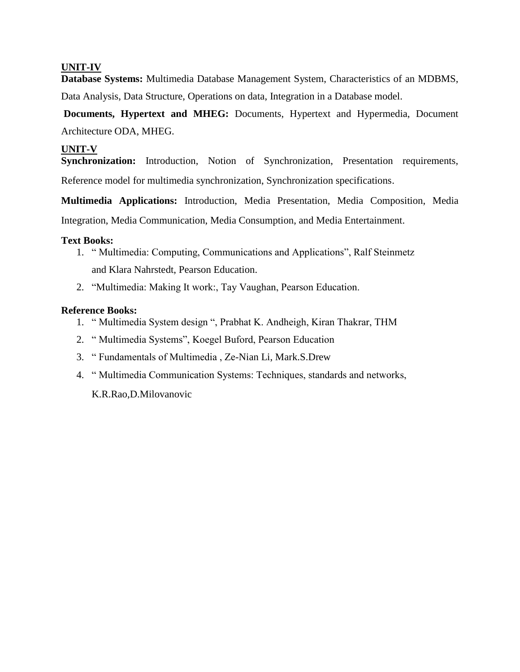**Database Systems:** Multimedia Database Management System, Characteristics of an MDBMS, Data Analysis, Data Structure, Operations on data, Integration in a Database model.

**Documents, Hypertext and MHEG:** Documents, Hypertext and Hypermedia, Document Architecture ODA, MHEG.

### **UNIT-V**

**Synchronization:** Introduction, Notion of Synchronization, Presentation requirements, Reference model for multimedia synchronization, Synchronization specifications.

**Multimedia Applications:** Introduction, Media Presentation, Media Composition, Media Integration, Media Communication, Media Consumption, and Media Entertainment.

#### **Text Books:**

- 1. " Multimedia: Computing, Communications and Applications", Ralf Steinmetz and Klara Nahrstedt, Pearson Education.
- 2. "Multimedia: Making It work:, Tay Vaughan, Pearson Education.

### **Reference Books:**

- 1. " Multimedia System design ", Prabhat K. Andheigh, Kiran Thakrar, THM
- 2. " Multimedia Systems", Koegel Buford, Pearson Education
- 3. " Fundamentals of Multimedia , Ze-Nian Li, Mark.S.Drew
- 4. " Multimedia Communication Systems: Techniques, standards and networks,

K.R.Rao,D.Milovanovic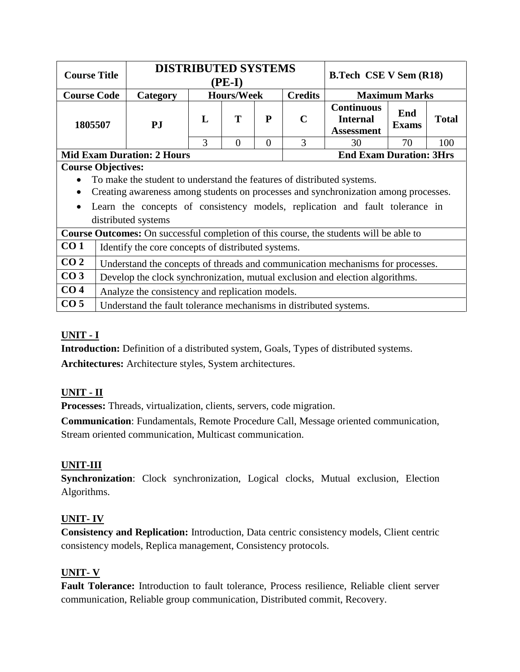| <b>Course Title</b> |                                                                                                                                                                                                                                                                                                                                                                                             | <b>DISTRIBUTED SYSTEMS</b>                                        |             | $(PE-I)$          |          |                                | <b>B.Tech CSE V Sem (R18)</b>                                                  |                      |              |
|---------------------|---------------------------------------------------------------------------------------------------------------------------------------------------------------------------------------------------------------------------------------------------------------------------------------------------------------------------------------------------------------------------------------------|-------------------------------------------------------------------|-------------|-------------------|----------|--------------------------------|--------------------------------------------------------------------------------|----------------------|--------------|
| <b>Course Code</b>  |                                                                                                                                                                                                                                                                                                                                                                                             | Category                                                          |             | <b>Hours/Week</b> |          | <b>Credits</b>                 |                                                                                | <b>Maximum Marks</b> |              |
| 1805507             |                                                                                                                                                                                                                                                                                                                                                                                             | PJ                                                                | T<br>P<br>L |                   |          | $\mathbf C$                    | <b>Continuous</b><br><b>Internal</b><br><b>Assessment</b>                      | End<br><b>Exams</b>  | <b>Total</b> |
|                     |                                                                                                                                                                                                                                                                                                                                                                                             |                                                                   | 3           | $\Omega$          | $\Omega$ | 3                              | 30                                                                             | 70                   | 100          |
|                     |                                                                                                                                                                                                                                                                                                                                                                                             | <b>Mid Exam Duration: 2 Hours</b>                                 |             |                   |          | <b>End Exam Duration: 3Hrs</b> |                                                                                |                      |              |
|                     | <b>Course Objectives:</b><br>To make the student to understand the features of distributed systems.<br>Creating awareness among students on processes and synchronization among processes.<br>Learn the concepts of consistency models, replication and fault tolerance in<br>distributed systems<br>Course Outcomes: On successful completion of this course, the students will be able to |                                                                   |             |                   |          |                                |                                                                                |                      |              |
| CO <sub>1</sub>     |                                                                                                                                                                                                                                                                                                                                                                                             | Identify the core concepts of distributed systems.                |             |                   |          |                                |                                                                                |                      |              |
| CO <sub>2</sub>     |                                                                                                                                                                                                                                                                                                                                                                                             |                                                                   |             |                   |          |                                | Understand the concepts of threads and communication mechanisms for processes. |                      |              |
| CO <sub>3</sub>     | Develop the clock synchronization, mutual exclusion and election algorithms.                                                                                                                                                                                                                                                                                                                |                                                                   |             |                   |          |                                |                                                                                |                      |              |
| CO <sub>4</sub>     | Analyze the consistency and replication models.                                                                                                                                                                                                                                                                                                                                             |                                                                   |             |                   |          |                                |                                                                                |                      |              |
| CO <sub>5</sub>     |                                                                                                                                                                                                                                                                                                                                                                                             | Understand the fault tolerance mechanisms in distributed systems. |             |                   |          |                                |                                                                                |                      |              |

# **UNIT - I**

**Introduction:** Definition of a distributed system, Goals, Types of distributed systems. **Architectures:** Architecture styles, System architectures.

# **UNIT - II**

**Processes:** Threads, virtualization, clients, servers, code migration.

**Communication**: Fundamentals, Remote Procedure Call, Message oriented communication, Stream oriented communication, Multicast communication.

### **UNIT-III**

**Synchronization**: Clock synchronization, Logical clocks, Mutual exclusion, Election Algorithms.

### **UNIT- IV**

**Consistency and Replication:** Introduction, Data centric consistency models, Client centric consistency models, Replica management, Consistency protocols.

# **UNIT- V**

**Fault Tolerance:** Introduction to fault tolerance, Process resilience, Reliable client server communication, Reliable group communication, Distributed commit, Recovery.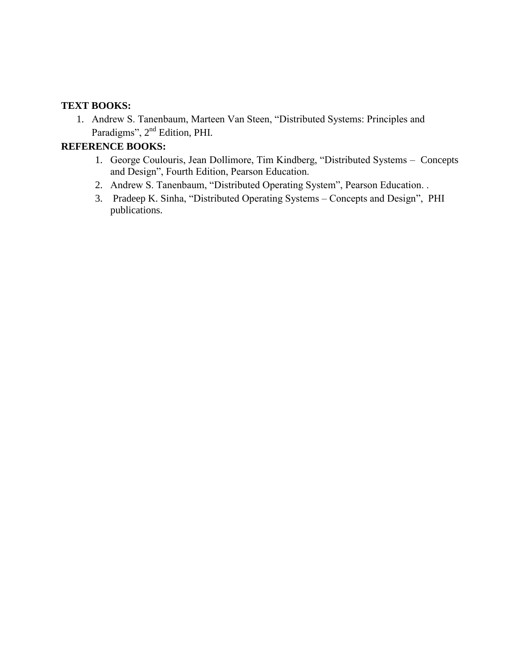### **TEXT BOOKS:**

1. Andrew S. Tanenbaum, Marteen Van Steen, "Distributed Systems: Principles and Paradigms", 2<sup>nd</sup> Edition, PHI.

# **REFERENCE BOOKS:**

- 1. George Coulouris, Jean Dollimore, Tim Kindberg, "Distributed Systems Concepts and Design", Fourth Edition, Pearson Education.
- 2. Andrew S. Tanenbaum, "Distributed Operating System", Pearson Education. .
- 3. Pradeep K. Sinha, "Distributed Operating Systems Concepts and Design", PHI publications.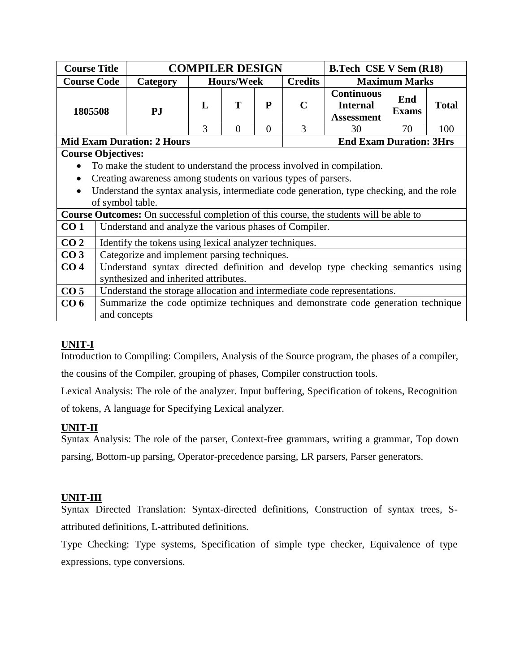| <b>Course Title</b> |                                                                                                                          |                                                        | <b>COMPILER DESIGN</b> |                   |           |                | <b>B.Tech CSE V Sem (R18)</b>                                                                 |                      |              |  |
|---------------------|--------------------------------------------------------------------------------------------------------------------------|--------------------------------------------------------|------------------------|-------------------|-----------|----------------|-----------------------------------------------------------------------------------------------|----------------------|--------------|--|
| <b>Course Code</b>  |                                                                                                                          | Category                                               |                        | <b>Hours/Week</b> |           | <b>Credits</b> |                                                                                               | <b>Maximum Marks</b> |              |  |
| 1805508             |                                                                                                                          | PJ                                                     | L                      | T                 | ${\bf P}$ | $\mathbf C$    | <b>Continuous</b><br><b>Internal</b><br><b>Assessment</b>                                     | End<br><b>Exams</b>  | <b>Total</b> |  |
|                     |                                                                                                                          |                                                        | 3                      | $\overline{0}$    | $\Omega$  | 3              | 30                                                                                            | 70                   | 100          |  |
|                     |                                                                                                                          | <b>Mid Exam Duration: 2 Hours</b>                      |                        |                   |           |                | <b>End Exam Duration: 3Hrs</b>                                                                |                      |              |  |
|                     | <b>Course Objectives:</b>                                                                                                |                                                        |                        |                   |           |                |                                                                                               |                      |              |  |
|                     | To make the student to understand the process involved in compilation.                                                   |                                                        |                        |                   |           |                |                                                                                               |                      |              |  |
|                     | Creating awareness among students on various types of parsers.                                                           |                                                        |                        |                   |           |                |                                                                                               |                      |              |  |
|                     |                                                                                                                          |                                                        |                        |                   |           |                | Understand the syntax analysis, intermediate code generation, type checking, and the role     |                      |              |  |
|                     |                                                                                                                          | of symbol table.                                       |                        |                   |           |                |                                                                                               |                      |              |  |
|                     |                                                                                                                          |                                                        |                        |                   |           |                | <b>Course Outcomes:</b> On successful completion of this course, the students will be able to |                      |              |  |
| CO <sub>1</sub>     |                                                                                                                          | Understand and analyze the various phases of Compiler. |                        |                   |           |                |                                                                                               |                      |              |  |
| CO <sub>2</sub>     |                                                                                                                          | Identify the tokens using lexical analyzer techniques. |                        |                   |           |                |                                                                                               |                      |              |  |
| CO <sub>3</sub>     |                                                                                                                          | Categorize and implement parsing techniques.           |                        |                   |           |                |                                                                                               |                      |              |  |
| CO <sub>4</sub>     |                                                                                                                          |                                                        |                        |                   |           |                |                                                                                               |                      |              |  |
|                     | Understand syntax directed definition and develop type checking semantics using<br>synthesized and inherited attributes. |                                                        |                        |                   |           |                |                                                                                               |                      |              |  |
| CO <sub>5</sub>     | Understand the storage allocation and intermediate code representations.                                                 |                                                        |                        |                   |           |                |                                                                                               |                      |              |  |
| CO <sub>6</sub>     | Summarize the code optimize techniques and demonstrate code generation technique                                         |                                                        |                        |                   |           |                |                                                                                               |                      |              |  |
|                     |                                                                                                                          | and concepts                                           |                        |                   |           |                |                                                                                               |                      |              |  |

Introduction to Compiling: Compilers, Analysis of the Source program, the phases of a compiler, the cousins of the Compiler, grouping of phases, Compiler construction tools.

Lexical Analysis: The role of the analyzer. Input buffering, Specification of tokens, Recognition of tokens, A language for Specifying Lexical analyzer.

### **UNIT-II**

Syntax Analysis: The role of the parser, Context-free grammars, writing a grammar, Top down parsing, Bottom-up parsing, Operator-precedence parsing, LR parsers, Parser generators.

### **UNIT-III**

Syntax Directed Translation: Syntax-directed definitions, Construction of syntax trees, Sattributed definitions, L-attributed definitions.

Type Checking: Type systems, Specification of simple type checker, Equivalence of type expressions, type conversions.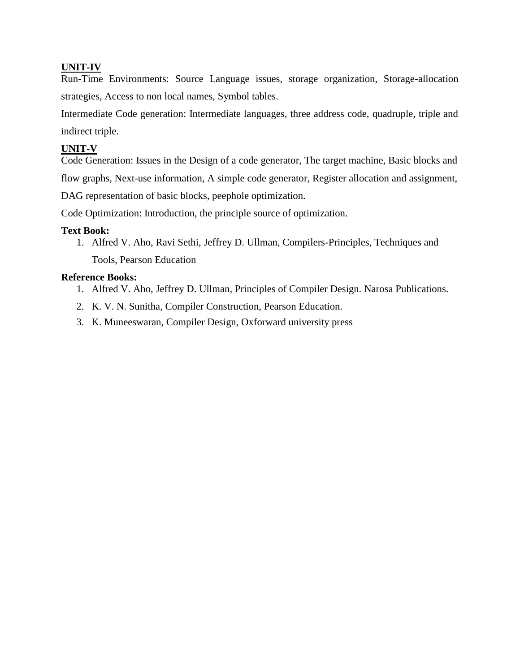Run-Time Environments: Source Language issues, storage organization, Storage-allocation strategies, Access to non local names, Symbol tables.

Intermediate Code generation: Intermediate languages, three address code, quadruple, triple and indirect triple.

#### **UNIT-V**

Code Generation: Issues in the Design of a code generator, The target machine, Basic blocks and flow graphs, Next-use information, A simple code generator, Register allocation and assignment,

DAG representation of basic blocks, peephole optimization.

Code Optimization: Introduction, the principle source of optimization.

### **Text Book:**

1. Alfred V. Aho, Ravi Sethi, Jeffrey D. Ullman, Compilers-Principles, Techniques and Tools, Pearson Education

### **Reference Books:**

- 1. Alfred V. Aho, Jeffrey D. Ullman, Principles of Compiler Design. Narosa Publications.
- 2. K. V. N. Sunitha, Compiler Construction, Pearson Education.
- 3. K. Muneeswaran, Compiler Design, Oxforward university press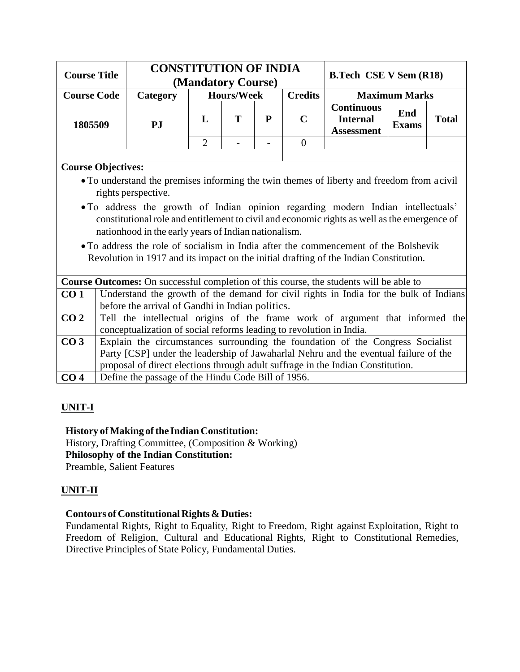| <b>Course Title</b> | <b>CONSTITUTION OF INDIA</b> | (Mandatory Course) |                   | <b>B.Tech CSE V Sem (R18)</b> |                |                                                           |                      |              |
|---------------------|------------------------------|--------------------|-------------------|-------------------------------|----------------|-----------------------------------------------------------|----------------------|--------------|
| <b>Course Code</b>  | <b>Category</b>              |                    | <b>Hours/Week</b> |                               | <b>Credits</b> |                                                           | <b>Maximum Marks</b> |              |
| 1805509             | PJ                           | L                  |                   | D                             | C              | <b>Continuous</b><br><b>Internal</b><br><b>Assessment</b> | End<br><b>Exams</b>  | <b>Total</b> |
|                     |                              |                    |                   |                               |                |                                                           |                      |              |

## **Course Objectives:**

- To understand the premises informing the twin themes of liberty and freedom from acivil rights perspective.
- To address the growth of Indian opinion regarding modern Indian intellectuals' constitutional role and entitlement to civil and economic rights as well asthe emergence of nationhood in the early years of Indian nationalism.
- To address the role of socialism in India after the commencement of the Bolshevik Revolution in 1917 and its impact on the initial drafting of the Indian Constitution.

|                 | <b>Course Outcomes:</b> On successful completion of this course, the students will be able to |
|-----------------|-----------------------------------------------------------------------------------------------|
| CO <sub>1</sub> | Understand the growth of the demand for civil rights in India for the bulk of Indians         |
|                 | before the arrival of Gandhi in Indian politics.                                              |
| CO <sub>2</sub> | Tell the intellectual origins of the frame work of argument that informed the                 |
|                 | conceptualization of social reforms leading to revolution in India.                           |
| CO <sub>3</sub> | Explain the circumstances surrounding the foundation of the Congress Socialist                |
|                 | Party [CSP] under the leadership of Jawaharlal Nehru and the eventual failure of the          |
|                 | proposal of direct elections through a dult suffrage in the Indian Constitution.              |
| CO <sub>4</sub> | Define the passage of the Hindu Code Bill of 1956.                                            |

# **UNIT-I**

### **History** of Making of the Indian Constitution:

History, Drafting Committee, (Composition & Working) **Philosophy of the Indian Constitution:** Preamble, Salient Features

# **UNIT-II**

# **Contours of Constitutional Rights & Duties:**

Fundamental Rights, Right to Equality, Right to Freedom, Right against Exploitation, Right to Freedom of Religion, Cultural and Educational Rights, Right to Constitutional Remedies, Directive Principles of State Policy, Fundamental Duties.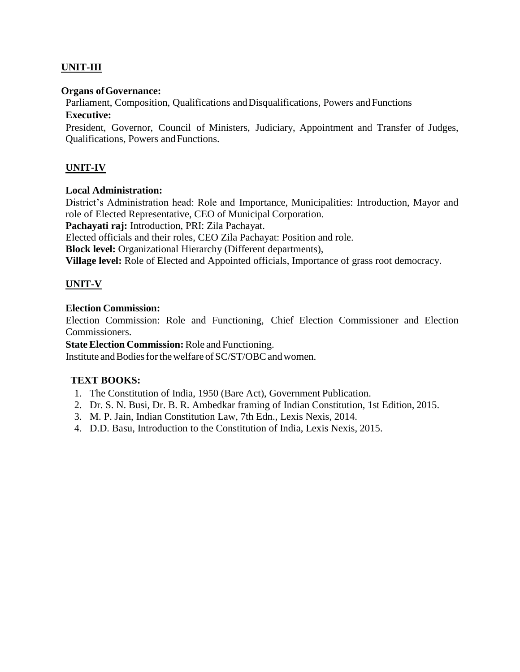## **UNIT-III**

### **Organs ofGovernance:**

Parliament, Composition, Qualifications and Disqualifications, Powers and Functions

### **Executive:**

President, Governor, Council of Ministers, Judiciary, Appointment and Transfer of Judges, Qualifications, Powers andFunctions.

### **UNIT-IV**

### **Local Administration:**

District's Administration head: Role and Importance, Municipalities: Introduction, Mayor and role of Elected Representative, CEO of Municipal Corporation.

**Pachayati raj:** Introduction, PRI: Zila Pachayat.

Elected officials and their roles, CEO Zila Pachayat: Position and role.

**Block level:** Organizational Hierarchy (Different departments),

**Village level:** Role of Elected and Appointed officials, Importance of grass root democracy.

### **UNIT-V**

### **Election Commission:**

Election Commission: Role and Functioning, Chief Election Commissioner and Election Commissioners.

**State Election Commission:** Role and Functioning.

Institute and Bodies for the welfare of SC/ST/OBC and women.

### **TEXT BOOKS:**

- 1. The Constitution of India, 1950 (Bare Act), Government Publication.
- 2. Dr. S. N. Busi, Dr. B. R. Ambedkar framing of Indian Constitution, 1st Edition, 2015.
- 3. M. P. Jain, Indian Constitution Law, 7th Edn., Lexis Nexis, 2014.
- 4. D.D. Basu, Introduction to the Constitution of India, Lexis Nexis, 2015.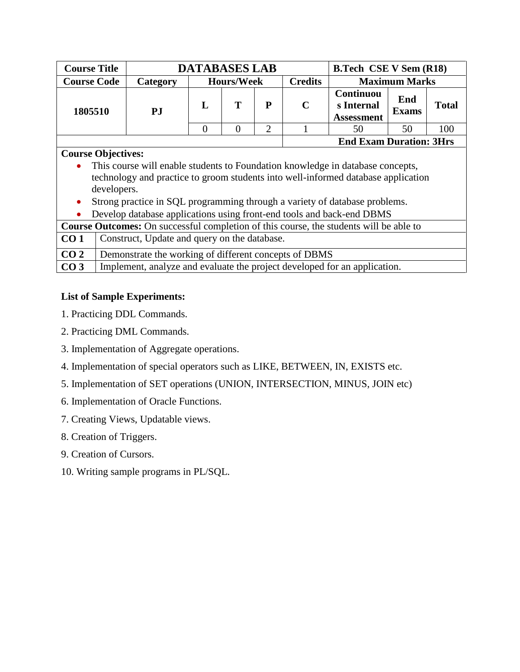| <b>Course Title</b> |          | <b>DATABASES LAB</b> |                   |                                |                | <b>B.Tech CSE V Sem (R18)</b>                       |                      |              |
|---------------------|----------|----------------------|-------------------|--------------------------------|----------------|-----------------------------------------------------|----------------------|--------------|
| <b>Course Code</b>  | Category |                      | <b>Hours/Week</b> |                                | <b>Credits</b> |                                                     | <b>Maximum Marks</b> |              |
| 1805510             | P.I      |                      |                   | P                              | $\mathbf C$    | <b>Continuou</b><br>s Internal<br><b>Assessment</b> | End<br><b>Exams</b>  | <b>Total</b> |
|                     |          |                      |                   | ⌒                              |                | 50                                                  | 50                   | 100          |
|                     |          |                      |                   | <b>End Exam Duration: 3Hrs</b> |                |                                                     |                      |              |

## **Course Objectives:**

- This course will enable students to Foundation knowledge in database concepts, technology and practice to groom students into well-informed database application developers.
- Strong practice in SQL programming through a variety of database problems.
- Develop database applications using front-end tools and back-end DBMS

| <b>Course Outcomes:</b> On successful completion of this course, the students will be able to |                                                                           |  |  |  |  |
|-----------------------------------------------------------------------------------------------|---------------------------------------------------------------------------|--|--|--|--|
| CO <sub>1</sub>                                                                               | Construct, Update and query on the database.                              |  |  |  |  |
| CO <sub>2</sub>                                                                               | Demonstrate the working of different concepts of DBMS                     |  |  |  |  |
| CO <sub>3</sub>                                                                               | Implement, analyze and evaluate the project developed for an application. |  |  |  |  |

# **List of Sample Experiments:**

- 1. Practicing DDL Commands.
- 2. Practicing DML Commands.
- 3. Implementation of Aggregate operations.
- 4. Implementation of special operators such as LIKE, BETWEEN, IN, EXISTS etc.
- 5. Implementation of SET operations (UNION, INTERSECTION, MINUS, JOIN etc)
- 6. Implementation of Oracle Functions.
- 7. Creating Views, Updatable views.
- 8. Creation of Triggers.
- 9. Creation of Cursors.
- 10. Writing sample programs in PL/SQL.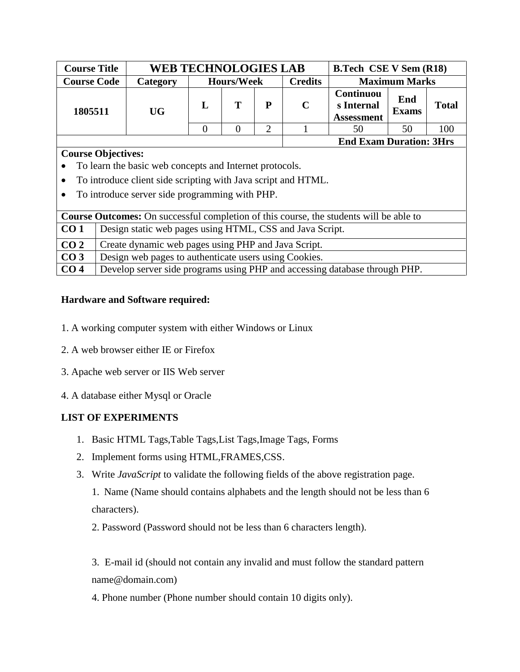| <b>Course Title</b> | <b>WEB TECHNOLOGIES LAB</b> |                   |  |   | <b>B.Tech CSE V Sem (R18)</b> |                                              |                     |              |
|---------------------|-----------------------------|-------------------|--|---|-------------------------------|----------------------------------------------|---------------------|--------------|
| <b>Course Code</b>  | <b>Category</b>             | <b>Hours/Week</b> |  |   | <b>Credits</b>                | <b>Maximum Marks</b>                         |                     |              |
| 1805511             | <b>UG</b>                   |                   |  | P | C                             | Continuou<br>s Internal<br><b>Assessment</b> | End<br><b>Exams</b> | <b>Total</b> |
|                     |                             |                   |  | ◠ |                               | 50                                           | 50                  | 100          |
|                     |                             |                   |  |   |                               | <b>End Exam Duration: 3Hrs</b>               |                     |              |

### **Course Objectives:**

- To learn the basic web concepts and Internet protocols.
- To introduce client side scripting with Java script and HTML.
- To introduce server side programming with PHP.

| <b>Course Outcomes:</b> On successful completion of this course, the students will be able to |                                                                            |  |  |  |  |
|-----------------------------------------------------------------------------------------------|----------------------------------------------------------------------------|--|--|--|--|
| CO <sub>1</sub>                                                                               | Design static web pages using HTML, CSS and Java Script.                   |  |  |  |  |
| CO <sub>2</sub>                                                                               | Create dynamic web pages using PHP and Java Script.                        |  |  |  |  |
| CO <sub>3</sub>                                                                               | Design web pages to authenticate users using Cookies.                      |  |  |  |  |
| CO <sub>4</sub>                                                                               | Develop server side programs using PHP and accessing database through PHP. |  |  |  |  |

## **Hardware and Software required:**

- 1. A working computer system with either Windows or Linux
- 2. A web browser either IE or Firefox
- 3. Apache web server or IIS Web server
- 4. A database either Mysql or Oracle

# **LIST OF EXPERIMENTS**

- 1. Basic HTML Tags,Table Tags,List Tags,Image Tags, Forms
- 2. Implement forms using HTML,FRAMES,CSS.
- 3. Write *JavaScript* to validate the following fields of the above registration page.

1. Name (Name should contains alphabets and the length should not be less than 6 characters).

2. Password (Password should not be less than 6 characters length).

3. E-mail id (should not contain any invalid and must follow the standard pattern name@domain.com)

4. Phone number (Phone number should contain 10 digits only).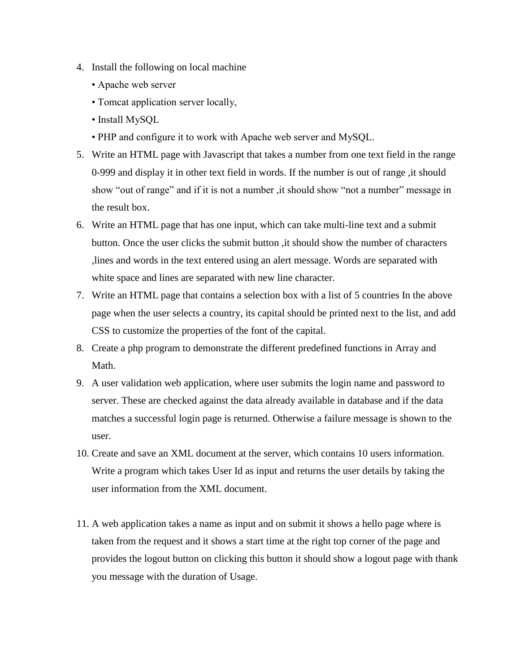- 4. Install the following on local machine
	- Apache web server
	- Tomcat application server locally,
	- Install MySQL
	- PHP and configure it to work with Apache web server and MySQL.
- 5. Write an HTML page with Javascript that takes a number from one text field in the range 0-999 and display it in other text field in words. If the number is out of range ,it should show "out of range" and if it is not a number, it should show "not a number" message in the result box.
- 6. Write an HTML page that has one input, which can take multi-line text and a submit button. Once the user clicks the submit button ,it should show the number of characters ,lines and words in the text entered using an alert message. Words are separated with white space and lines are separated with new line character.
- 7. Write an HTML page that contains a selection box with a list of 5 countries In the above page when the user selects a country, its capital should be printed next to the list, and add CSS to customize the properties of the font of the capital.
- 8. Create a php program to demonstrate the different predefined functions in Array and Math.
- 9. A user validation web application, where user submits the login name and password to server. These are checked against the data already available in database and if the data matches a successful login page is returned. Otherwise a failure message is shown to the user.
- 10. Create and save an XML document at the server, which contains 10 users information. Write a program which takes User Id as input and returns the user details by taking the user information from the XML document.
- 11. A web application takes a name as input and on submit it shows a hello page where is taken from the request and it shows a start time at the right top corner of the page and provides the logout button on clicking this button it should show a logout page with thank you message with the duration of Usage.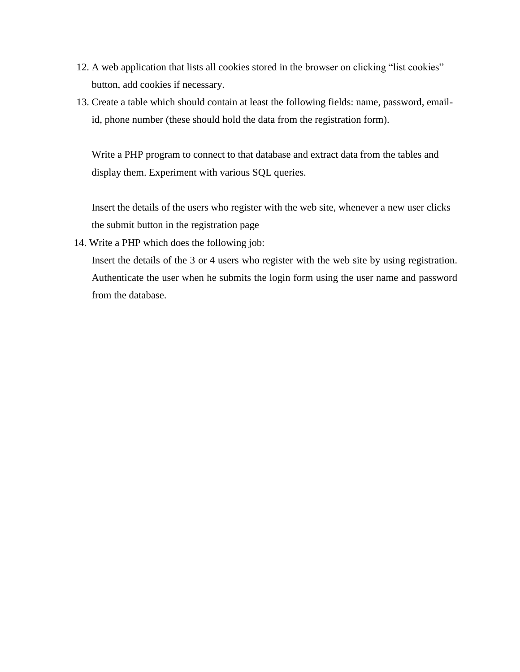- 12. A web application that lists all cookies stored in the browser on clicking "list cookies" button, add cookies if necessary.
- 13. Create a table which should contain at least the following fields: name, password, emailid, phone number (these should hold the data from the registration form).

Write a PHP program to connect to that database and extract data from the tables and display them. Experiment with various SQL queries.

Insert the details of the users who register with the web site, whenever a new user clicks the submit button in the registration page

14. Write a PHP which does the following job:

Insert the details of the 3 or 4 users who register with the web site by using registration. Authenticate the user when he submits the login form using the user name and password from the database.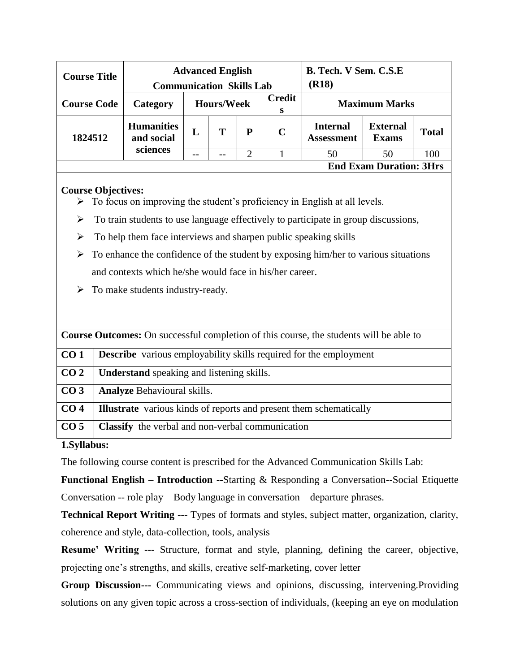| <b>Course Title</b> | <b>Advanced English</b><br><b>Communication Skills Lab</b> |                   |   |           |                    | B. Tech. V Sem. C.S.E<br>( <b>R18</b> ) |                                 |              |  |
|---------------------|------------------------------------------------------------|-------------------|---|-----------|--------------------|-----------------------------------------|---------------------------------|--------------|--|
| <b>Course Code</b>  | Category                                                   | <b>Hours/Week</b> |   |           | <b>Credit</b><br>S | <b>Maximum Marks</b>                    |                                 |              |  |
| 1824512             | <b>Humanities</b><br>and social                            | L                 | Т | ${\bf P}$ | $\mathbf C$        | <b>Internal</b><br><b>Assessment</b>    | <b>External</b><br><b>Exams</b> | <b>Total</b> |  |
|                     | sciences                                                   | --                |   | 2         |                    | 50                                      | 50                              | 100          |  |
|                     |                                                            |                   |   |           |                    |                                         | <b>End Exam Duration: 3Hrs</b>  |              |  |

### **Course Objectives:**

- $\triangleright$  To focus on improving the student's proficiency in English at all levels.
- $\triangleright$  To train students to use language effectively to participate in group discussions,
- $\triangleright$  To help them face interviews and sharpen public speaking skills
- $\triangleright$  To enhance the confidence of the student by exposing him/her to various situations and contexts which he/she would face in his/her career.
- $\triangleright$  To make students industry-ready.

| <b>Course Outcomes:</b> On successful completion of this course, the students will be able to |                                                                           |  |  |  |  |
|-----------------------------------------------------------------------------------------------|---------------------------------------------------------------------------|--|--|--|--|
| CO <sub>1</sub>                                                                               | <b>Describe</b> various employability skills required for the employment  |  |  |  |  |
| CO <sub>2</sub>                                                                               | <b>Understand</b> speaking and listening skills.                          |  |  |  |  |
| CO <sub>3</sub>                                                                               | <b>Analyze Behavioural skills.</b>                                        |  |  |  |  |
| CO <sub>4</sub>                                                                               | <b>Illustrate</b> various kinds of reports and present them schematically |  |  |  |  |
| CO <sub>5</sub>                                                                               | <b>Classify</b> the verbal and non-verbal communication                   |  |  |  |  |

### **1.Syllabus:**

The following course content is prescribed for the Advanced Communication Skills Lab:

**Functional English – Introduction --**Starting & Responding a Conversation--Social Etiquette Conversation -- role play – Body language in conversation—departure phrases.

**Technical Report Writing ---** Types of formats and styles, subject matter, organization, clarity, coherence and style, data-collection, tools, analysis

**Resume' Writing ---** Structure, format and style, planning, defining the career, objective, projecting one's strengths, and skills, creative self-marketing, cover letter

**Group Discussion---** Communicating views and opinions, discussing, intervening.Providing solutions on any given topic across a cross-section of individuals, (keeping an eye on modulation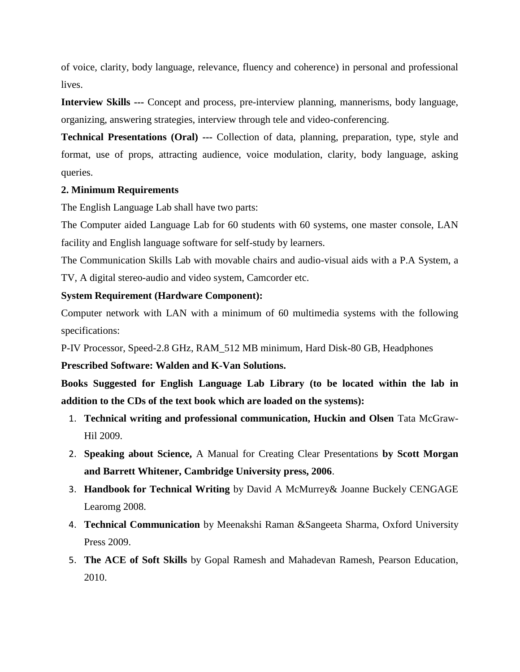of voice, clarity, body language, relevance, fluency and coherence) in personal and professional lives.

**Interview Skills ---** Concept and process, pre-interview planning, mannerisms, body language, organizing, answering strategies, interview through tele and video-conferencing.

**Technical Presentations (Oral) ---** Collection of data, planning, preparation, type, style and format, use of props, attracting audience, voice modulation, clarity, body language, asking queries.

### **2. Minimum Requirements**

The English Language Lab shall have two parts:

The Computer aided Language Lab for 60 students with 60 systems, one master console, LAN facility and English language software for self-study by learners.

The Communication Skills Lab with movable chairs and audio-visual aids with a P.A System, a TV, A digital stereo-audio and video system, Camcorder etc.

### **System Requirement (Hardware Component):**

Computer network with LAN with a minimum of 60 multimedia systems with the following specifications:

P-IV Processor, Speed-2.8 GHz, RAM\_512 MB minimum, Hard Disk-80 GB, Headphones

### **Prescribed Software: Walden and K-Van Solutions.**

**Books Suggested for English Language Lab Library (to be located within the lab in addition to the CDs of the text book which are loaded on the systems):**

- 1. **Technical writing and professional communication, Huckin and Olsen** Tata McGraw-Hil 2009.
- 2. **Speaking about Science,** A Manual for Creating Clear Presentations **by Scott Morgan and Barrett Whitener, Cambridge University press, 2006**.
- 3. **Handbook for Technical Writing** by David A McMurrey& Joanne Buckely CENGAGE Learomg 2008.
- 4. **Technical Communication** by Meenakshi Raman &Sangeeta Sharma, Oxford University Press 2009.
- 5. **The ACE of Soft Skills** by Gopal Ramesh and Mahadevan Ramesh, Pearson Education, 2010.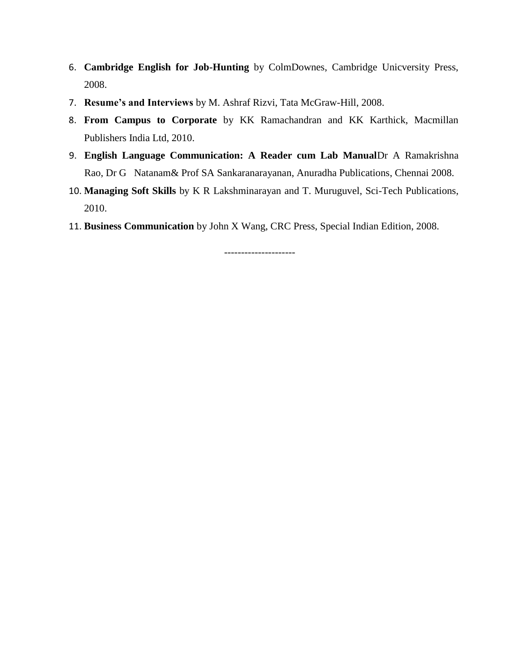- 6. **Cambridge English for Job-Hunting** by ColmDownes, Cambridge Unicversity Press, 2008.
- 7. **Resume's and Interviews** by M. Ashraf Rizvi, Tata McGraw-Hill, 2008.
- 8. **From Campus to Corporate** by KK Ramachandran and KK Karthick, Macmillan Publishers India Ltd, 2010.
- 9. **English Language Communication: A Reader cum Lab Manual**Dr A Ramakrishna Rao, Dr G Natanam& Prof SA Sankaranarayanan, Anuradha Publications, Chennai 2008.
- 10. **Managing Soft Skills** by K R Lakshminarayan and T. Muruguvel, Sci-Tech Publications, 2010.
- 11. **Business Communication** by John X Wang, CRC Press, Special Indian Edition, 2008.

---------------------